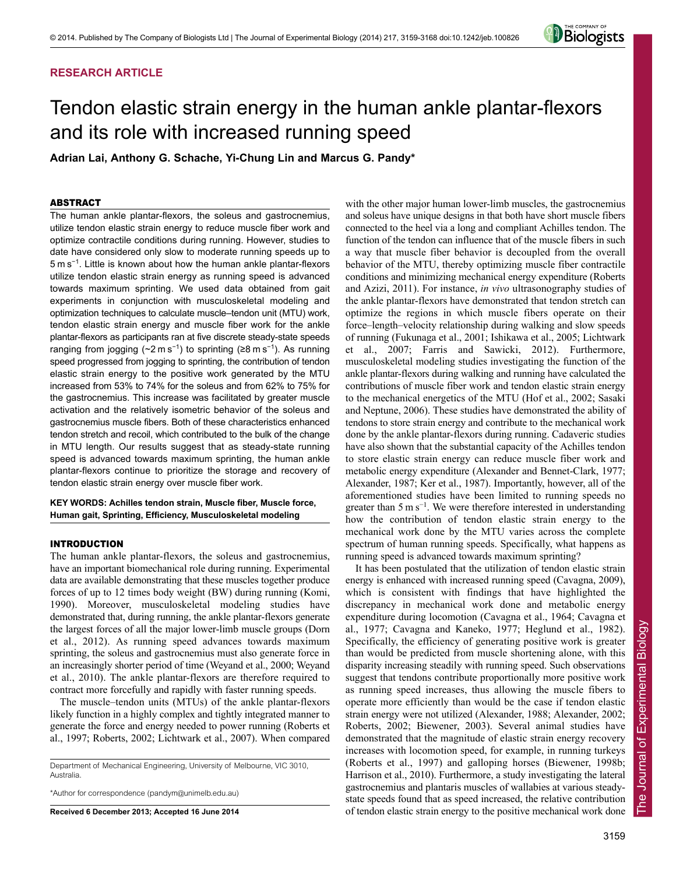# **RESEARCH ARTICLE**



# Tendon elastic strain energy in the human ankle plantar-flexors and its role with increased running speed

**Adrian Lai, Anthony G. Schache, Yi-Chung Lin and Marcus G. Pandy\***

# ABSTRACT

The human ankle plantar-flexors, the soleus and gastrocnemius, utilize tendon elastic strain energy to reduce muscle fiber work and optimize contractile conditions during running. However, studies to date have considered only slow to moderate running speeds up to 5 m s<sup>−</sup><sup>1</sup> . Little is known about how the human ankle plantar-flexors utilize tendon elastic strain energy as running speed is advanced towards maximum sprinting. We used data obtained from gait experiments in conjunction with musculoskeletal modeling and optimization techniques to calculate muscle–tendon unit (MTU) work, tendon elastic strain energy and muscle fiber work for the ankle plantar-flexors as participants ran at five discrete steady-state speeds ranging from jogging ( $\sim$ 2 m s<sup>-1</sup>) to sprinting (≥8 m s<sup>-1</sup>). As running speed progressed from jogging to sprinting, the contribution of tendon elastic strain energy to the positive work generated by the MTU increased from 53% to 74% for the soleus and from 62% to 75% for the gastrocnemius. This increase was facilitated by greater muscle activation and the relatively isometric behavior of the soleus and gastrocnemius muscle fibers. Both of these characteristics enhanced tendon stretch and recoil, which contributed to the bulk of the change in MTU length. Our results suggest that as steady-state running speed is advanced towards maximum sprinting, the human ankle plantar-flexors continue to prioritize the storage and recovery of tendon elastic strain energy over muscle fiber work.

# **KEY WORDS: Achilles tendon strain, Muscle fiber, Muscle force, Human gait, Sprinting, Efficiency, Musculoskeletal modeling**

## INTRODUCTION

The human ankle plantar-flexors, the soleus and gastrocnemius, have an important biomechanical role during running. Experimental data are available demonstrating that these muscles together produce forces of up to 12 times body weight (BW) during running (Komi, 1990). Moreover, musculoskeletal modeling studies have demonstrated that, during running, the ankle plantar-flexors generate the largest forces of all the major lower-limb muscle groups (Dorn et al., 2012). As running speed advances towards maximum sprinting, the soleus and gastrocnemius must also generate force in an increasingly shorter period of time (Weyand et al., 2000; Weyand et al., 2010). The ankle plantar-flexors are therefore required to contract more forcefully and rapidly with faster running speeds.

The muscle–tendon units (MTUs) of the ankle plantar-flexors likely function in a highly complex and tightly integrated manner to generate the force and energy needed to power running (Roberts et al., 1997; Roberts, 2002; Lichtwark et al., 2007). When compared

Department of Mechanical Engineering, University of Melbourne, VIC 3010, Australia.

\*Author for correspondence (pandym@unimelb.edu.au)

**Received 6 December 2013; Accepted 16 June 2014**

with the other major human lower-limb muscles, the gastrocnemius and soleus have unique designs in that both have short muscle fibers connected to the heel via a long and compliant Achilles tendon. The function of the tendon can influence that of the muscle fibers in such a way that muscle fiber behavior is decoupled from the overall behavior of the MTU, thereby optimizing muscle fiber contractile conditions and minimizing mechanical energy expenditure (Roberts and Azizi, 2011). For instance, *in vivo* ultrasonography studies of the ankle plantar-flexors have demonstrated that tendon stretch can optimize the regions in which muscle fibers operate on their force–length–velocity relationship during walking and slow speeds of running (Fukunaga et al., 2001; Ishikawa et al., 2005; Lichtwark et al., 2007; Farris and Sawicki, 2012). Furthermore, musculoskeletal modeling studies investigating the function of the ankle plantar-flexors during walking and running have calculated the contributions of muscle fiber work and tendon elastic strain energy to the mechanical energetics of the MTU (Hof et al., 2002; Sasaki and Neptune, 2006). These studies have demonstrated the ability of tendons to store strain energy and contribute to the mechanical work done by the ankle plantar-flexors during running. Cadaveric studies have also shown that the substantial capacity of the Achilles tendon to store elastic strain energy can reduce muscle fiber work and metabolic energy expenditure (Alexander and Bennet-Clark, 1977; Alexander, 1987; Ker et al., 1987). Importantly, however, all of the aforementioned studies have been limited to running speeds no greater than  $5 \text{ m s}^{-1}$ . We were therefore interested in understanding how the contribution of tendon elastic strain energy to the mechanical work done by the MTU varies across the complete spectrum of human running speeds. Specifically, what happens as running speed is advanced towards maximum sprinting?

It has been postulated that the utilization of tendon elastic strain energy is enhanced with increased running speed (Cavagna, 2009), which is consistent with findings that have highlighted the discrepancy in mechanical work done and metabolic energy expenditure during locomotion (Cavagna et al., 1964; Cavagna et al., 1977; Cavagna and Kaneko, 1977; Heglund et al., 1982). Specifically, the efficiency of generating positive work is greater than would be predicted from muscle shortening alone, with this disparity increasing steadily with running speed. Such observations suggest that tendons contribute proportionally more positive work as running speed increases, thus allowing the muscle fibers to operate more efficiently than would be the case if tendon elastic strain energy were not utilized (Alexander, 1988; Alexander, 2002; Roberts, 2002; Biewener, 2003). Several animal studies have demonstrated that the magnitude of elastic strain energy recovery increases with locomotion speed, for example, in running turkeys (Roberts et al., 1997) and galloping horses (Biewener, 1998b; Harrison et al., 2010). Furthermore, a study investigating the lateral gastrocnemius and plantaris muscles of wallabies at various steadystate speeds found that as speed increased, the relative contribution of tendon elastic strain energy to the positive mechanical work done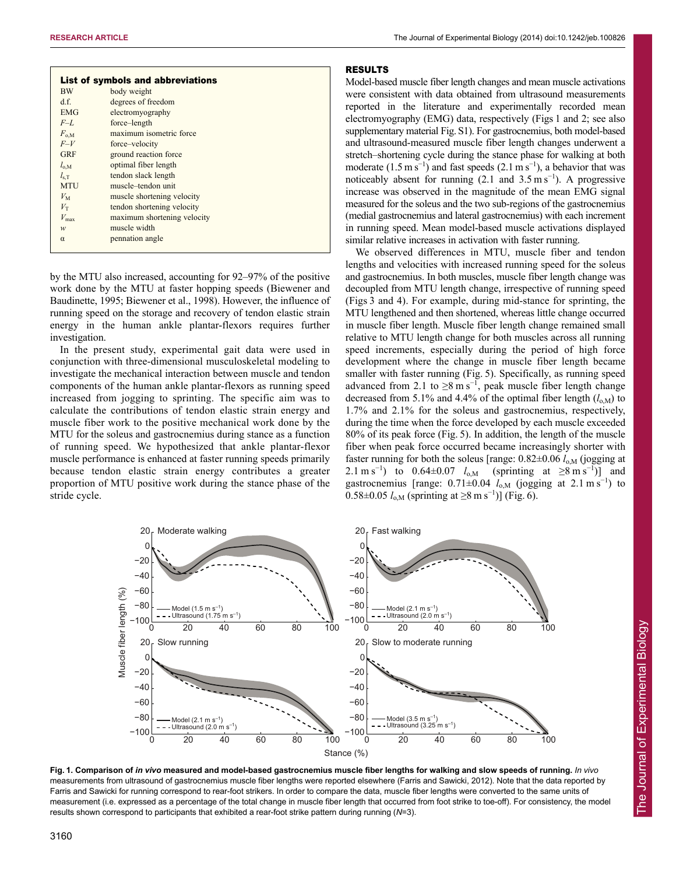| <b>BW</b><br>body weight<br>d.f.<br>degrees of freedom |
|--------------------------------------------------------|
|                                                        |
|                                                        |
| <b>EMG</b><br>electromyography                         |
| $F-L$<br>force-length                                  |
| maximum isometric force<br>$F_{0.M}$                   |
| $F-V$<br>force-velocity                                |
| <b>GRF</b><br>ground reaction force                    |
| optimal fiber length<br>$l_{o,M}$                      |
| tendon slack length<br>$l_{\rm s.T}$                   |
| <b>MTU</b><br>muscle-tendon unit                       |
| $V_{\rm M}$<br>muscle shortening velocity              |
| tendon shortening velocity<br>$V_{\rm T}$              |
| $V_{\rm max}$<br>maximum shortening velocity           |
| muscle width<br>w                                      |
| pennation angle<br>$\alpha$                            |

by the MTU also increased, accounting for 92–97% of the positive work done by the MTU at faster hopping speeds (Biewener and Baudinette, 1995; Biewener et al., 1998). However, the influence of running speed on the storage and recovery of tendon elastic strain energy in the human ankle plantar-flexors requires further investigation.

In the present study, experimental gait data were used in conjunction with three-dimensional musculoskeletal modeling to investigate the mechanical interaction between muscle and tendon components of the human ankle plantar-flexors as running speed increased from jogging to sprinting. The specific aim was to calculate the contributions of tendon elastic strain energy and muscle fiber work to the positive mechanical work done by the MTU for the soleus and gastrocnemius during stance as a function of running speed. We hypothesized that ankle plantar-flexor muscle performance is enhanced at faster running speeds primarily because tendon elastic strain energy contributes a greater proportion of MTU positive work during the stance phase of the stride cycle.

# RESULTS

Model-based muscle fiber length changes and mean muscle activations were consistent with data obtained from ultrasound measurements reported in the literature and experimentally recorded mean electromyography (EMG) data, respectively (Figs 1 and 2; see also supplementary material Fig. S1). For gastrocnemius, both model-based and ultrasound-measured muscle fiber length changes underwent a stretch–shortening cycle during the stance phase for walking at both moderate  $(1.5 \text{ m s}^{-1})$  and fast speeds  $(2.1 \text{ m s}^{-1})$ , a behavior that was noticeably absent for running  $(2.1 \text{ and } 3.5 \text{ m s}^{-1})$ . A progressive increase was observed in the magnitude of the mean EMG signal measured for the soleus and the two sub-regions of the gastrocnemius (medial gastrocnemius and lateral gastrocnemius) with each increment in running speed. Mean model-based muscle activations displayed similar relative increases in activation with faster running.

We observed differences in MTU, muscle fiber and tendon lengths and velocities with increased running speed for the soleus and gastrocnemius. In both muscles, muscle fiber length change was decoupled from MTU length change, irrespective of running speed (Figs 3 and 4). For example, during mid-stance for sprinting, the MTU lengthened and then shortened, whereas little change occurred in muscle fiber length. Muscle fiber length change remained small relative to MTU length change for both muscles across all running speed increments, especially during the period of high force development where the change in muscle fiber length became smaller with faster running (Fig. 5). Specifically, as running speed advanced from 2.1 to  $\geq 8$  m s<sup>-1</sup>, peak muscle fiber length change decreased from 5.1% and 4.4% of the optimal fiber length  $(l_{o,M})$  to 1.7% and 2.1% for the soleus and gastrocnemius, respectively, during the time when the force developed by each muscle exceeded 80% of its peak force (Fig. 5). In addition, the length of the muscle fiber when peak force occurred became increasingly shorter with faster running for both the soleus [range:  $0.82 \pm 0.06$  *l*<sub>o,M</sub> (jogging at 2.1 m s<sup>-1</sup>) to 0.64±0.07  $l_{o,M}$  (sprinting at ≥8 m s<sup>-1</sup>)] and gastrocnemius [range:  $0.71 \pm 0.04$   $l_{o,M}$  (jogging at 2.1 m s<sup>-1</sup>) to 0.58±0.05  $l_{o,M}$  (sprinting at ≥8 m s<sup>-1</sup>)] (Fig. 6).



**Fig. 1. Comparison of** *in vivo* **measured and model-based gastrocnemius muscle fiber lengths for walking and slow speeds of running.** *In vivo* measurements from ultrasound of gastrocnemius muscle fiber lengths were reported elsewhere (Farris and Sawicki, 2012). Note that the data reported by Farris and Sawicki for running correspond to rear-foot strikers. In order to compare the data, muscle fiber lengths were converted to the same units of measurement (i.e. expressed as a percentage of the total change in muscle fiber length that occurred from foot strike to toe-off). For consistency, the model results shown correspond to participants that exhibited a rear-foot strike pattern during running (*N*=3).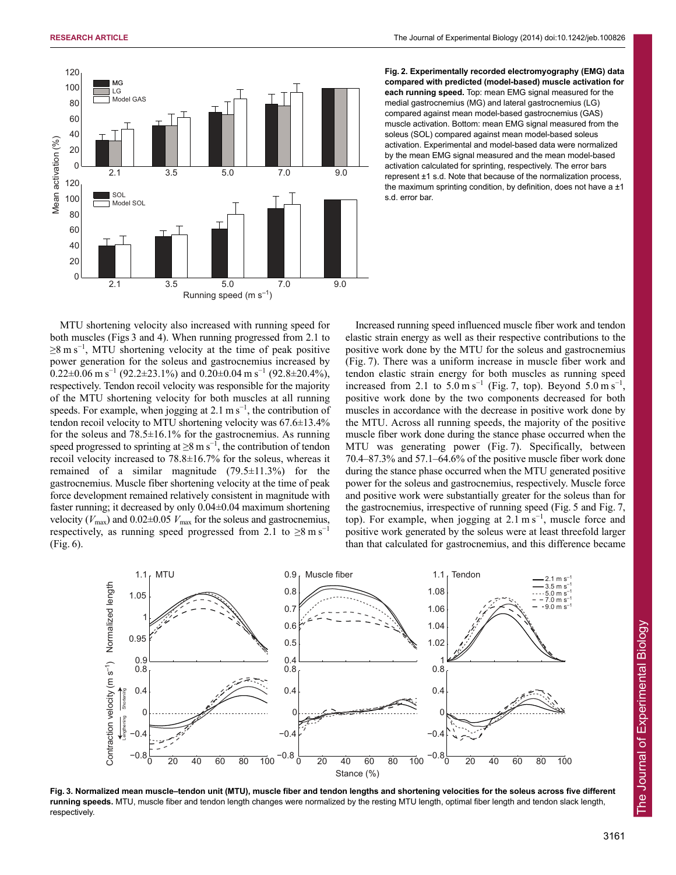

**Fig. 2. Experimentally recorded electromyography (EMG) data compared with predicted (model-based) muscle activation for each running speed.** Top: mean EMG signal measured for the medial gastrocnemius (MG) and lateral gastrocnemius (LG) compared against mean model-based gastrocnemius (GAS) muscle activation. Bottom: mean EMG signal measured from the soleus (SOL) compared against mean model-based soleus activation. Experimental and model-based data were normalized by the mean EMG signal measured and the mean model-based activation calculated for sprinting, respectively. The error bars represent ±1 s.d. Note that because of the normalization process, the maximum sprinting condition, by definition, does not have a  $\pm 1$ s.d. error bar.

MTU shortening velocity also increased with running speed for both muscles (Figs 3 and 4). When running progressed from 2.1 to  $\geq$ 8 m s<sup>-1</sup>, MTU shortening velocity at the time of peak positive power generation for the soleus and gastrocnemius increased by  $0.22\pm0.06$  m s<sup>-1</sup> (92.2±23.1%) and  $0.20\pm0.04$  m s<sup>-1</sup> (92.8±20.4%), respectively. Tendon recoil velocity was responsible for the majority of the MTU shortening velocity for both muscles at all running speeds. For example, when jogging at  $2.1 \text{ m s}^{-1}$ , the contribution of tendon recoil velocity to MTU shortening velocity was 67.6±13.4% for the soleus and  $78.5\pm16.1\%$  for the gastrocnemius. As running speed progressed to sprinting at  $\geq 8$  m s<sup>-1</sup>, the contribution of tendon recoil velocity increased to 78.8±16.7% for the soleus, whereas it remained of a similar magnitude  $(79.5 \pm 11.3\%)$  for the gastrocnemius. Muscle fiber shortening velocity at the time of peak force development remained relatively consistent in magnitude with faster running; it decreased by only 0.04±0.04 maximum shortening velocity ( $V_{\text{max}}$ ) and  $0.02 \pm 0.05$   $V_{\text{max}}$  for the soleus and gastrocnemius, respectively, as running speed progressed from 2.1 to  $\geq 8 \text{ m s}^{-1}$ (Fig. 6).

Increased running speed influenced muscle fiber work and tendon elastic strain energy as well as their respective contributions to the positive work done by the MTU for the soleus and gastrocnemius (Fig. 7). There was a uniform increase in muscle fiber work and tendon elastic strain energy for both muscles as running speed increased from 2.1 to  $5.0 \text{ m s}^{-1}$  (Fig. 7, top). Beyond  $5.0 \text{ m s}^{-1}$ , positive work done by the two components decreased for both muscles in accordance with the decrease in positive work done by the MTU. Across all running speeds, the majority of the positive muscle fiber work done during the stance phase occurred when the MTU was generating power (Fig. 7). Specifically, between 70.4–87.3% and 57.1–64.6% of the positive muscle fiber work done during the stance phase occurred when the MTU generated positive power for the soleus and gastrocnemius, respectively. Muscle force and positive work were substantially greater for the soleus than for the gastrocnemius, irrespective of running speed (Fig. 5 and Fig. 7, top). For example, when jogging at  $2.1 \text{ m s}^{-1}$ , muscle force and positive work generated by the soleus were at least threefold larger than that calculated for gastrocnemius, and this difference became



**Fig. 3. Normalized mean muscle–tendon unit (MTU), muscle fiber and tendon lengths and shortening velocities for the soleus across five different running speeds.** MTU, muscle fiber and tendon length changes were normalized by the resting MTU length, optimal fiber length and tendon slack length, respectively.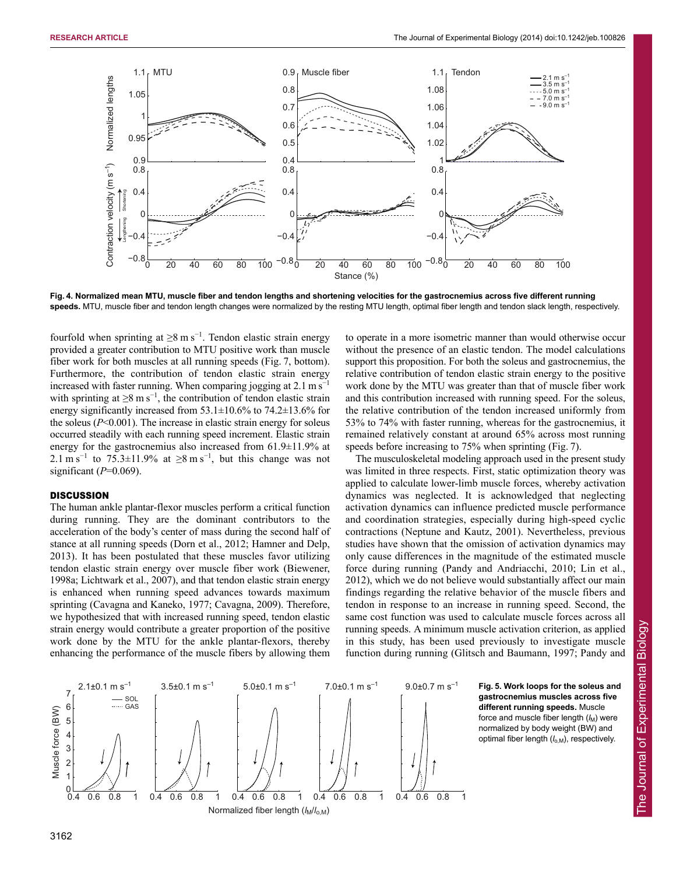

**Fig. 4. Normalized mean MTU, muscle fiber and tendon lengths and shortening velocities for the gastrocnemius across five different running** speeds. MTU, muscle fiber and tendon length changes were normalized by the resting MTU length, optimal fiber length and tendon slack length, respectively.

fourfold when sprinting at  $\geq 8$  m s<sup>-1</sup>. Tendon elastic strain energy provided a greater contribution to MTU positive work than muscle fiber work for both muscles at all running speeds (Fig. 7, bottom). Furthermore, the contribution of tendon elastic strain energy increased with faster running. When comparing jogging at 2.1 m s<sup>−</sup><sup>1</sup> with sprinting at  $\geq 8$  m s<sup>-1</sup>, the contribution of tendon elastic strain energy significantly increased from  $53.1\pm10.6\%$  to  $74.2\pm13.6\%$  for the soleus  $(P<0.001)$ . The increase in elastic strain energy for soleus occurred steadily with each running speed increment. Elastic strain energy for the gastrocnemius also increased from 61.9±11.9% at 2.1 m s<sup>-1</sup> to 75.3±11.9% at ≥8 m s<sup>-1</sup>, but this change was not significant (*P*=0.069).

# **DISCUSSION**

The human ankle plantar-flexor muscles perform a critical function during running. They are the dominant contributors to the acceleration of the body's center of mass during the second half of stance at all running speeds (Dorn et al., 2012; Hamner and Delp, 2013). It has been postulated that these muscles favor utilizing tendon elastic strain energy over muscle fiber work (Biewener, 1998a; Lichtwark et al., 2007), and that tendon elastic strain energy is enhanced when running speed advances towards maximum sprinting (Cavagna and Kaneko, 1977; Cavagna, 2009). Therefore, we hypothesized that with increased running speed, tendon elastic strain energy would contribute a greater proportion of the positive work done by the MTU for the ankle plantar-flexors, thereby enhancing the performance of the muscle fibers by allowing them to operate in a more isometric manner than would otherwise occur without the presence of an elastic tendon. The model calculations support this proposition. For both the soleus and gastrocnemius, the relative contribution of tendon elastic strain energy to the positive work done by the MTU was greater than that of muscle fiber work and this contribution increased with running speed. For the soleus, the relative contribution of the tendon increased uniformly from 53% to 74% with faster running, whereas for the gastrocnemius, it remained relatively constant at around 65% across most running speeds before increasing to 75% when sprinting (Fig. 7).

The musculoskeletal modeling approach used in the present study was limited in three respects. First, static optimization theory was applied to calculate lower-limb muscle forces, whereby activation dynamics was neglected. It is acknowledged that neglecting activation dynamics can influence predicted muscle performance and coordination strategies, especially during high-speed cyclic contractions (Neptune and Kautz, 2001). Nevertheless, previous studies have shown that the omission of activation dynamics may only cause differences in the magnitude of the estimated muscle force during running (Pandy and Andriacchi, 2010; Lin et al., 2012), which we do not believe would substantially affect our main findings regarding the relative behavior of the muscle fibers and tendon in response to an increase in running speed. Second, the same cost function was used to calculate muscle forces across all running speeds. A minimum muscle activation criterion, as applied in this study, has been used previously to investigate muscle function during running (Glitsch and Baumann, 1997; Pandy and



**Fig. 5. Work loops for the soleus and gastrocnemius muscles across five different running speeds.** Muscle force and muscle fiber length ( $l_M$ ) were normalized by body weight (BW) and optimal fiber length ( $l_{o,M}$ ), respectively.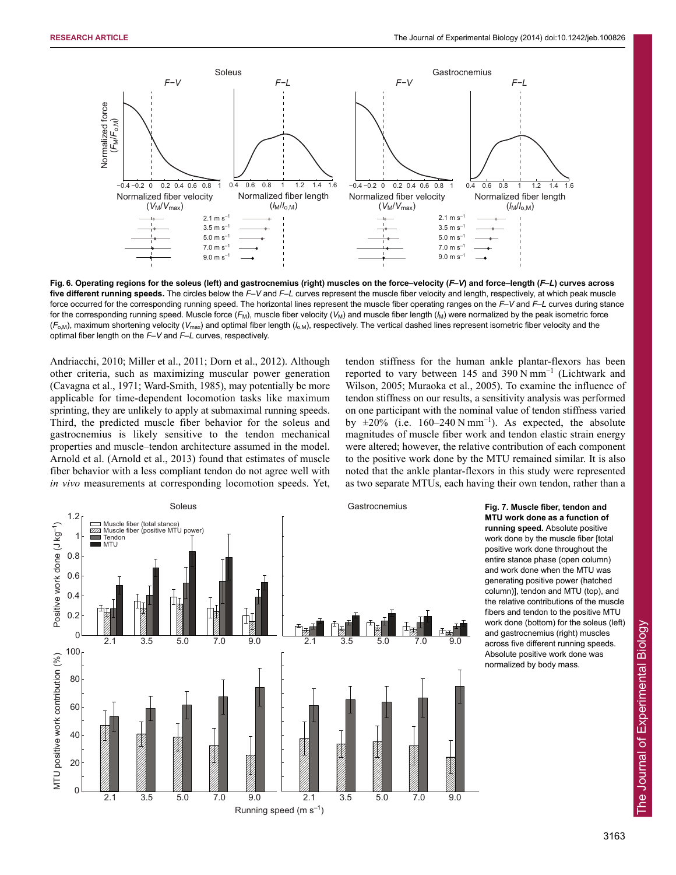

**Fig. 6. Operating regions for the soleus (left) and gastrocnemius (right) muscles on the force–velocity (***F***–***V***) and force–length (***F***–***L***) curves across five different running speeds.** The circles below the *F*–*V* and *F*–*L* curves represent the muscle fiber velocity and length, respectively, at which peak muscle force occurred for the corresponding running speed. The horizontal lines represent the muscle fiber operating ranges on the *F*–*V* and *F*–*L* curves during stance for the corresponding running speed. Muscle force  $(F_M)$ , muscle fiber velocity  $(V_M)$  and muscle fiber length  $(V_M)$  were normalized by the peak isometric force (*F*o,M), maximum shortening velocity (*V*max) and optimal fiber length (*l*o,M), respectively. The vertical dashed lines represent isometric fiber velocity and the optimal fiber length on the *F*–*V* and *F*–*L* curves, respectively.

Andriacchi, 2010; Miller et al., 2011; Dorn et al., 2012). Although other criteria, such as maximizing muscular power generation (Cavagna et al., 1971; Ward-Smith, 1985), may potentially be more applicable for time-dependent locomotion tasks like maximum sprinting, they are unlikely to apply at submaximal running speeds. Third, the predicted muscle fiber behavior for the soleus and gastrocnemius is likely sensitive to the tendon mechanical properties and muscle–tendon architecture assumed in the model. Arnold et al. (Arnold et al., 2013) found that estimates of muscle fiber behavior with a less compliant tendon do not agree well with *in vivo* measurements at corresponding locomotion speeds. Yet, tendon stiffness for the human ankle plantar-flexors has been reported to vary between 145 and 390 N mm<sup>-1</sup> (Lichtwark and Wilson, 2005; Muraoka et al., 2005). To examine the influence of tendon stiffness on our results, a sensitivity analysis was performed on one participant with the nominal value of tendon stiffness varied by  $\pm 20\%$  (i.e. 160–240 N mm<sup>-1</sup>). As expected, the absolute magnitudes of muscle fiber work and tendon elastic strain energy were altered; however, the relative contribution of each component to the positive work done by the MTU remained similar. It is also noted that the ankle plantar-flexors in this study were represented as two separate MTUs, each having their own tendon, rather than a



**MTU work done as a function of running speed.** Absolute positive work done by the muscle fiber [total positive work done throughout the entire stance phase (open column) and work done when the MTU was generating positive power (hatched column)], tendon and MTU (top), and the relative contributions of the muscle fibers and tendon to the positive MTU work done (bottom) for the soleus (left) and gastrocnemius (right) muscles across five different running speeds. Absolute positive work done was normalized by body mass.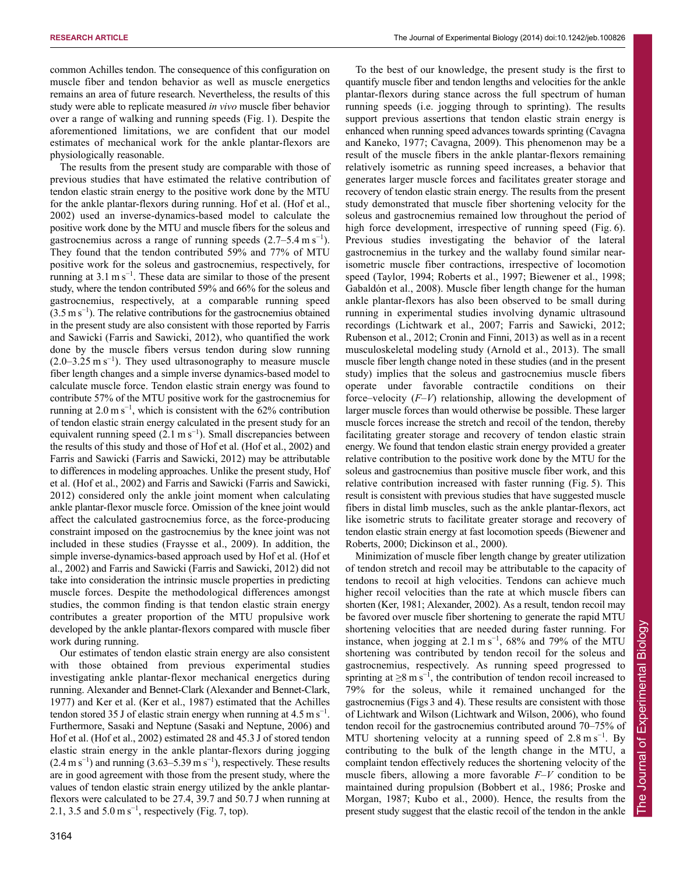To the best of our knowledge, the present study is the first to quantify muscle fiber and tendon lengths and velocities for the ankle

common Achilles tendon. The consequence of this configuration on muscle fiber and tendon behavior as well as muscle energetics remains an area of future research. Nevertheless, the results of this study were able to replicate measured *in vivo* muscle fiber behavior over a range of walking and running speeds (Fig. 1). Despite the aforementioned limitations, we are confident that our model estimates of mechanical work for the ankle plantar-flexors are physiologically reasonable.

The results from the present study are comparable with those of previous studies that have estimated the relative contribution of tendon elastic strain energy to the positive work done by the MTU for the ankle plantar-flexors during running. Hof et al. (Hof et al., 2002) used an inverse-dynamics-based model to calculate the positive work done by the MTU and muscle fibers for the soleus and gastrocnemius across a range of running speeds  $(2.7-5.4 \text{ m s}^{-1})$ . They found that the tendon contributed 59% and 77% of MTU positive work for the soleus and gastrocnemius, respectively, for running at  $3.1 \text{ m s}^{-1}$ . These data are similar to those of the present study, where the tendon contributed 59% and 66% for the soleus and gastrocnemius, respectively, at a comparable running speed  $(3.5 \text{ m s}^{-1})$ . The relative contributions for the gastrocnemius obtained in the present study are also consistent with those reported by Farris and Sawicki (Farris and Sawicki, 2012), who quantified the work done by the muscle fibers versus tendon during slow running  $(2.0-3.25 \text{ m s}^{-1})$ . They used ultrasonography to measure muscle fiber length changes and a simple inverse dynamics-based model to calculate muscle force. Tendon elastic strain energy was found to contribute 57% of the MTU positive work for the gastrocnemius for running at  $2.0 \text{ m s}^{-1}$ , which is consistent with the 62% contribution of tendon elastic strain energy calculated in the present study for an equivalent running speed (2.1 m s<sup>-1</sup>). Small discrepancies between the results of this study and those of Hof et al. (Hof et al., 2002) and Farris and Sawicki (Farris and Sawicki, 2012) may be attributable to differences in modeling approaches. Unlike the present study, Hof et al. (Hof et al., 2002) and Farris and Sawicki (Farris and Sawicki, 2012) considered only the ankle joint moment when calculating ankle plantar-flexor muscle force. Omission of the knee joint would affect the calculated gastrocnemius force, as the force-producing constraint imposed on the gastrocnemius by the knee joint was not included in these studies (Fraysse et al., 2009). In addition, the simple inverse-dynamics-based approach used by Hof et al. (Hof et al., 2002) and Farris and Sawicki (Farris and Sawicki, 2012) did not take into consideration the intrinsic muscle properties in predicting muscle forces. Despite the methodological differences amongst studies, the common finding is that tendon elastic strain energy contributes a greater proportion of the MTU propulsive work developed by the ankle plantar-flexors compared with muscle fiber work during running.

Our estimates of tendon elastic strain energy are also consistent with those obtained from previous experimental studies investigating ankle plantar-flexor mechanical energetics during running. Alexander and Bennet-Clark (Alexander and Bennet-Clark, 1977) and Ker et al. (Ker et al., 1987) estimated that the Achilles tendon stored 35 J of elastic strain energy when running at  $4.5 \text{ m s}^{-1}$ . Furthermore, Sasaki and Neptune (Sasaki and Neptune, 2006) and Hof et al. (Hof et al., 2002) estimated 28 and 45.3 J of stored tendon elastic strain energy in the ankle plantar-flexors during jogging  $(2.4 \text{ m s}^{-1})$  and running  $(3.63-5.39 \text{ m s}^{-1})$ , respectively. These results are in good agreement with those from the present study, where the values of tendon elastic strain energy utilized by the ankle plantarflexors were calculated to be 27.4, 39.7 and 50.7 J when running at 2.1, 3.5 and  $5.0 \text{ m s}^{-1}$ , respectively (Fig. 7, top).

plantar-flexors during stance across the full spectrum of human running speeds (i.e. jogging through to sprinting). The results support previous assertions that tendon elastic strain energy is enhanced when running speed advances towards sprinting (Cavagna and Kaneko, 1977; Cavagna, 2009). This phenomenon may be a result of the muscle fibers in the ankle plantar-flexors remaining relatively isometric as running speed increases, a behavior that generates larger muscle forces and facilitates greater storage and recovery of tendon elastic strain energy. The results from the present study demonstrated that muscle fiber shortening velocity for the soleus and gastrocnemius remained low throughout the period of high force development, irrespective of running speed (Fig. 6). Previous studies investigating the behavior of the lateral gastrocnemius in the turkey and the wallaby found similar nearisometric muscle fiber contractions, irrespective of locomotion speed (Taylor, 1994; Roberts et al., 1997; Biewener et al., 1998; Gabaldón et al., 2008). Muscle fiber length change for the human ankle plantar-flexors has also been observed to be small during running in experimental studies involving dynamic ultrasound recordings (Lichtwark et al., 2007; Farris and Sawicki, 2012; Rubenson et al., 2012; Cronin and Finni, 2013) as well as in a recent musculoskeletal modeling study (Arnold et al., 2013). The small muscle fiber length change noted in these studies (and in the present study) implies that the soleus and gastrocnemius muscle fibers operate under favorable contractile conditions on their force–velocity (*F*–*V*) relationship, allowing the development of larger muscle forces than would otherwise be possible. These larger muscle forces increase the stretch and recoil of the tendon, thereby facilitating greater storage and recovery of tendon elastic strain energy. We found that tendon elastic strain energy provided a greater relative contribution to the positive work done by the MTU for the soleus and gastrocnemius than positive muscle fiber work, and this relative contribution increased with faster running (Fig. 5). This result is consistent with previous studies that have suggested muscle fibers in distal limb muscles, such as the ankle plantar-flexors, act like isometric struts to facilitate greater storage and recovery of tendon elastic strain energy at fast locomotion speeds (Biewener and Roberts, 2000; Dickinson et al., 2000).

Minimization of muscle fiber length change by greater utilization of tendon stretch and recoil may be attributable to the capacity of tendons to recoil at high velocities. Tendons can achieve much higher recoil velocities than the rate at which muscle fibers can shorten (Ker, 1981; Alexander, 2002). As a result, tendon recoil may be favored over muscle fiber shortening to generate the rapid MTU shortening velocities that are needed during faster running. For instance, when jogging at  $2.1 \text{ m s}^{-1}$ , 68% and 79% of the MTU shortening was contributed by tendon recoil for the soleus and gastrocnemius, respectively. As running speed progressed to sprinting at  $\geq 8$  m s<sup>-1</sup>, the contribution of tendon recoil increased to 79% for the soleus, while it remained unchanged for the gastrocnemius (Figs 3 and 4). These results are consistent with those of Lichtwark and Wilson (Lichtwark and Wilson, 2006), who found tendon recoil for the gastrocnemius contributed around 70–75% of MTU shortening velocity at a running speed of  $2.8 \text{ m s}^{-1}$ . By contributing to the bulk of the length change in the MTU, a complaint tendon effectively reduces the shortening velocity of the muscle fibers, allowing a more favorable *F*–*V* condition to be maintained during propulsion (Bobbert et al., 1986; Proske and Morgan, 1987; Kubo et al., 2000). Hence, the results from the present study suggest that the elastic recoil of the tendon in the ankle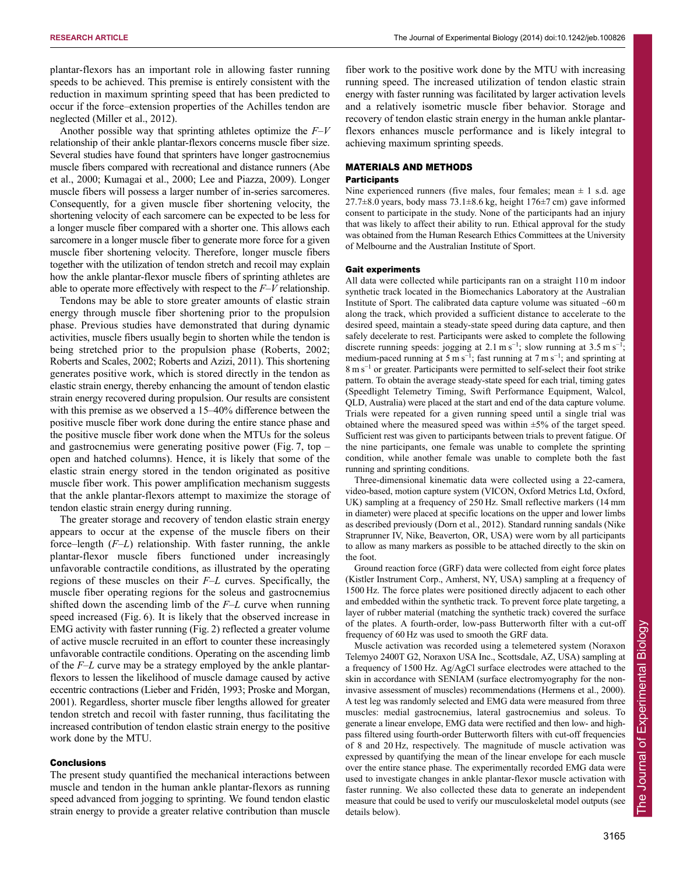plantar-flexors has an important role in allowing faster running speeds to be achieved. This premise is entirely consistent with the reduction in maximum sprinting speed that has been predicted to occur if the force–extension properties of the Achilles tendon are neglected (Miller et al., 2012).

Another possible way that sprinting athletes optimize the *F*–*V* relationship of their ankle plantar-flexors concerns muscle fiber size. Several studies have found that sprinters have longer gastrocnemius muscle fibers compared with recreational and distance runners (Abe et al., 2000; Kumagai et al., 2000; Lee and Piazza, 2009). Longer muscle fibers will possess a larger number of in-series sarcomeres. Consequently, for a given muscle fiber shortening velocity, the shortening velocity of each sarcomere can be expected to be less for a longer muscle fiber compared with a shorter one. This allows each sarcomere in a longer muscle fiber to generate more force for a given muscle fiber shortening velocity. Therefore, longer muscle fibers together with the utilization of tendon stretch and recoil may explain how the ankle plantar-flexor muscle fibers of sprinting athletes are able to operate more effectively with respect to the *F*–*V* relationship.

Tendons may be able to store greater amounts of elastic strain energy through muscle fiber shortening prior to the propulsion phase. Previous studies have demonstrated that during dynamic activities, muscle fibers usually begin to shorten while the tendon is being stretched prior to the propulsion phase (Roberts, 2002; Roberts and Scales, 2002; Roberts and Azizi, 2011). This shortening generates positive work, which is stored directly in the tendon as elastic strain energy, thereby enhancing the amount of tendon elastic strain energy recovered during propulsion. Our results are consistent with this premise as we observed a 15–40% difference between the positive muscle fiber work done during the entire stance phase and the positive muscle fiber work done when the MTUs for the soleus and gastrocnemius were generating positive power (Fig. 7, top – open and hatched columns). Hence, it is likely that some of the elastic strain energy stored in the tendon originated as positive muscle fiber work. This power amplification mechanism suggests that the ankle plantar-flexors attempt to maximize the storage of tendon elastic strain energy during running.

The greater storage and recovery of tendon elastic strain energy appears to occur at the expense of the muscle fibers on their force–length (*F*–*L*) relationship. With faster running, the ankle plantar-flexor muscle fibers functioned under increasingly unfavorable contractile conditions, as illustrated by the operating regions of these muscles on their *F*–*L* curves. Specifically, the muscle fiber operating regions for the soleus and gastrocnemius shifted down the ascending limb of the *F*–*L* curve when running speed increased (Fig. 6). It is likely that the observed increase in EMG activity with faster running (Fig. 2) reflected a greater volume of active muscle recruited in an effort to counter these increasingly unfavorable contractile conditions. Operating on the ascending limb of the *F*–*L* curve may be a strategy employed by the ankle plantarflexors to lessen the likelihood of muscle damage caused by active eccentric contractions (Lieber and Fridén, 1993; Proske and Morgan, 2001). Regardless, shorter muscle fiber lengths allowed for greater tendon stretch and recoil with faster running, thus facilitating the increased contribution of tendon elastic strain energy to the positive work done by the MTU.

### Conclusions

The present study quantified the mechanical interactions between muscle and tendon in the human ankle plantar-flexors as running speed advanced from jogging to sprinting. We found tendon elastic strain energy to provide a greater relative contribution than muscle fiber work to the positive work done by the MTU with increasing running speed. The increased utilization of tendon elastic strain energy with faster running was facilitated by larger activation levels and a relatively isometric muscle fiber behavior. Storage and recovery of tendon elastic strain energy in the human ankle plantarflexors enhances muscle performance and is likely integral to achieving maximum sprinting speeds.

# MATERIALS AND METHODS

## **Participants**

Nine experienced runners (five males, four females; mean  $\pm$  1 s.d. age 27.7 $\pm$ 8.0 years, body mass 73.1 $\pm$ 8.6 kg, height 176 $\pm$ 7 cm) gave informed consent to participate in the study. None of the participants had an injury that was likely to affect their ability to run. Ethical approval for the study was obtained from the Human Research Ethics Committees at the University of Melbourne and the Australian Institute of Sport.

#### Gait experiments

All data were collected while participants ran on a straight 110 m indoor synthetic track located in the Biomechanics Laboratory at the Australian Institute of Sport. The calibrated data capture volume was situated  $~60 \text{ m}$ along the track, which provided a sufficient distance to accelerate to the desired speed, maintain a steady-state speed during data capture, and then safely decelerate to rest. Participants were asked to complete the following discrete running speeds: jogging at 2.1 m s<sup>-1</sup>; slow running at 3.5 m s<sup>-1</sup>; medium-paced running at 5 m s<sup>-1</sup>; fast running at 7 m s<sup>-1</sup>; and sprinting at 8 m s<sup>−</sup><sup>1</sup> or greater. Participants were permitted to self-select their foot strike pattern. To obtain the average steady-state speed for each trial, timing gates (Speedlight Telemetry Timing, Swift Performance Equipment, Walcol, QLD, Australia) were placed at the start and end of the data capture volume. Trials were repeated for a given running speed until a single trial was obtained where the measured speed was within  $\pm$ 5% of the target speed. Sufficient rest was given to participants between trials to prevent fatigue. Of the nine participants, one female was unable to complete the sprinting condition, while another female was unable to complete both the fast running and sprinting conditions.

Three-dimensional kinematic data were collected using a 22-camera, video-based, motion capture system (VICON, Oxford Metrics Ltd, Oxford, UK) sampling at a frequency of 250 Hz. Small reflective markers (14 mm in diameter) were placed at specific locations on the upper and lower limbs as described previously (Dorn et al., 2012). Standard running sandals (Nike Straprunner IV, Nike, Beaverton, OR, USA) were worn by all participants to allow as many markers as possible to be attached directly to the skin on the foot.

Ground reaction force (GRF) data were collected from eight force plates (Kistler Instrument Corp., Amherst, NY, USA) sampling at a frequency of 1500 Hz. The force plates were positioned directly adjacent to each other and embedded within the synthetic track. To prevent force plate targeting, a layer of rubber material (matching the synthetic track) covered the surface of the plates. A fourth-order, low-pass Butterworth filter with a cut-off frequency of 60 Hz was used to smooth the GRF data.

Muscle activation was recorded using a telemetered system (Noraxon Telemyo 2400T G2, Noraxon USA Inc., Scottsdale, AZ, USA) sampling at a frequency of 1500 Hz. Ag/AgCl surface electrodes were attached to the skin in accordance with SENIAM (surface electromyography for the noninvasive assessment of muscles) recommendations (Hermens et al., 2000). A test leg was randomly selected and EMG data were measured from three muscles: medial gastrocnemius, lateral gastrocnemius and soleus. To generate a linear envelope, EMG data were rectified and then low- and highpass filtered using fourth-order Butterworth filters with cut-off frequencies of 8 and 20 Hz, respectively. The magnitude of muscle activation was expressed by quantifying the mean of the linear envelope for each muscle over the entire stance phase. The experimentally recorded EMG data were used to investigate changes in ankle plantar-flexor muscle activation with faster running. We also collected these data to generate an independent measure that could be used to verify our musculoskeletal model outputs (see details below).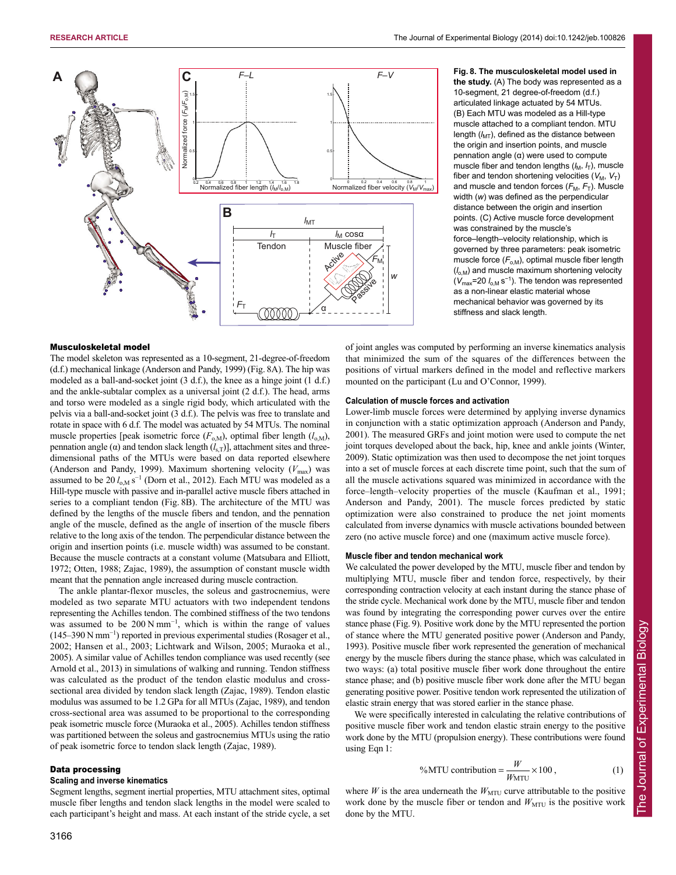

# **Fig. 8. The musculoskeletal model used in the study.** (A) The body was represented as a 10-segment, 21 degree-of-freedom (d.f.) articulated linkage actuated by 54 MTUs. (B) Each MTU was modeled as a Hill-type muscle attached to a compliant tendon. MTU length  $(l_{\text{MT}})$ , defined as the distance between the origin and insertion points, and muscle pennation angle (α) were used to compute muscle fiber and tendon lengths  $(I_M, I_T)$ , muscle fiber and tendon shortening velocities  $(V_M, V_T)$ and muscle and tendon forces  $(F_M, F_T)$ . Muscle width (*w*) was defined as the perpendicular distance between the origin and insertion points. (C) Active muscle force development was constrained by the muscle's force–length–velocity relationship, which is governed by three parameters: peak isometric muscle force ( $F_{o,M}$ ), optimal muscle fiber length (*l*o,M) and muscle maximum shortening velocity ( $V_{\text{max}}$ =20  $I_{\text{o,M}}$  s<sup>−1</sup>). The tendon was represented as a non-linear elastic material whose mechanical behavior was governed by its stiffness and slack length.

#### Musculoskeletal model

The model skeleton was represented as a 10-segment, 21-degree-of-freedom (d.f.) mechanical linkage (Anderson and Pandy, 1999) (Fig. 8A). The hip was modeled as a ball-and-socket joint (3 d.f.), the knee as a hinge joint (1 d.f.) and the ankle-subtalar complex as a universal joint (2 d.f.). The head, arms and torso were modeled as a single rigid body, which articulated with the pelvis via a ball-and-socket joint (3 d.f.). The pelvis was free to translate and rotate in space with 6 d.f. The model was actuated by 54 MTUs. The nominal muscle properties [peak isometric force  $(F_{o,M})$ , optimal fiber length  $(l_{o,M})$ , pennation angle (α) and tendon slack length  $(l_{s,T})$ ], attachment sites and threedimensional paths of the MTUs were based on data reported elsewhere (Anderson and Pandy, 1999). Maximum shortening velocity  $(V_{\text{max}})$  was assumed to be  $20 l_{o,M} s^{-1}$  (Dorn et al., 2012). Each MTU was modeled as a Hill-type muscle with passive and in-parallel active muscle fibers attached in series to a compliant tendon (Fig. 8B). The architecture of the MTU was defined by the lengths of the muscle fibers and tendon, and the pennation angle of the muscle, defined as the angle of insertion of the muscle fibers relative to the long axis of the tendon. The perpendicular distance between the origin and insertion points (i.e. muscle width) was assumed to be constant. Because the muscle contracts at a constant volume (Matsubara and Elliott, 1972; Otten, 1988; Zajac, 1989), the assumption of constant muscle width meant that the pennation angle increased during muscle contraction.

The ankle plantar-flexor muscles, the soleus and gastrocnemius, were modeled as two separate MTU actuators with two independent tendons representing the Achilles tendon. The combined stiffness of the two tendons was assumed to be  $200 \text{ N mm}^{-1}$ , which is within the range of values (145–390 N mm<sup>−</sup><sup>1</sup> ) reported in previous experimental studies (Rosager et al., 2002; Hansen et al., 2003; Lichtwark and Wilson, 2005; Muraoka et al., 2005). A similar value of Achilles tendon compliance was used recently (see Arnold et al., 2013) in simulations of walking and running. Tendon stiffness was calculated as the product of the tendon elastic modulus and crosssectional area divided by tendon slack length (Zajac, 1989). Tendon elastic modulus was assumed to be 1.2 GPa for all MTUs (Zajac, 1989), and tendon cross-sectional area was assumed to be proportional to the corresponding peak isometric muscle force (Muraoka et al., 2005). Achilles tendon stiffness was partitioned between the soleus and gastrocnemius MTUs using the ratio of peak isometric force to tendon slack length (Zajac, 1989).

#### Data processing

#### **Scaling and inverse kinematics**

Segment lengths, segment inertial properties, MTU attachment sites, optimal muscle fiber lengths and tendon slack lengths in the model were scaled to each participant's height and mass. At each instant of the stride cycle, a set of joint angles was computed by performing an inverse kinematics analysis that minimized the sum of the squares of the differences between the positions of virtual markers defined in the model and reflective markers mounted on the participant (Lu and O'Connor, 1999).

# **Calculation of muscle forces and activation**

Lower-limb muscle forces were determined by applying inverse dynamics in conjunction with a static optimization approach (Anderson and Pandy, 2001). The measured GRFs and joint motion were used to compute the net joint torques developed about the back, hip, knee and ankle joints (Winter, 2009). Static optimization was then used to decompose the net joint torques into a set of muscle forces at each discrete time point, such that the sum of all the muscle activations squared was minimized in accordance with the force–length–velocity properties of the muscle (Kaufman et al., 1991; Anderson and Pandy, 2001). The muscle forces predicted by static optimization were also constrained to produce the net joint moments calculated from inverse dynamics with muscle activations bounded between zero (no active muscle force) and one (maximum active muscle force).

#### **Muscle fiber and tendon mechanical work**

We calculated the power developed by the MTU, muscle fiber and tendon by multiplying MTU, muscle fiber and tendon force, respectively, by their corresponding contraction velocity at each instant during the stance phase of the stride cycle. Mechanical work done by the MTU, muscle fiber and tendon was found by integrating the corresponding power curves over the entire stance phase (Fig. 9). Positive work done by the MTU represented the portion of stance where the MTU generated positive power (Anderson and Pandy, 1993). Positive muscle fiber work represented the generation of mechanical energy by the muscle fibers during the stance phase, which was calculated in two ways: (a) total positive muscle fiber work done throughout the entire stance phase; and (b) positive muscle fiber work done after the MTU began generating positive power. Positive tendon work represented the utilization of elastic strain energy that was stored earlier in the stance phase.

We were specifically interested in calculating the relative contributions of positive muscle fiber work and tendon elastic strain energy to the positive work done by the MTU (propulsion energy). These contributions were found using Eqn 1:

$$
\%MTU \text{ contribution} = \frac{W}{W_{\text{MTU}}} \times 100 ,\tag{1}
$$

where  $W$  is the area underneath the  $W<sub>MTU</sub>$  curve attributable to the positive work done by the muscle fiber or tendon and  $W<sub>MTU</sub>$  is the positive work done by the MTU.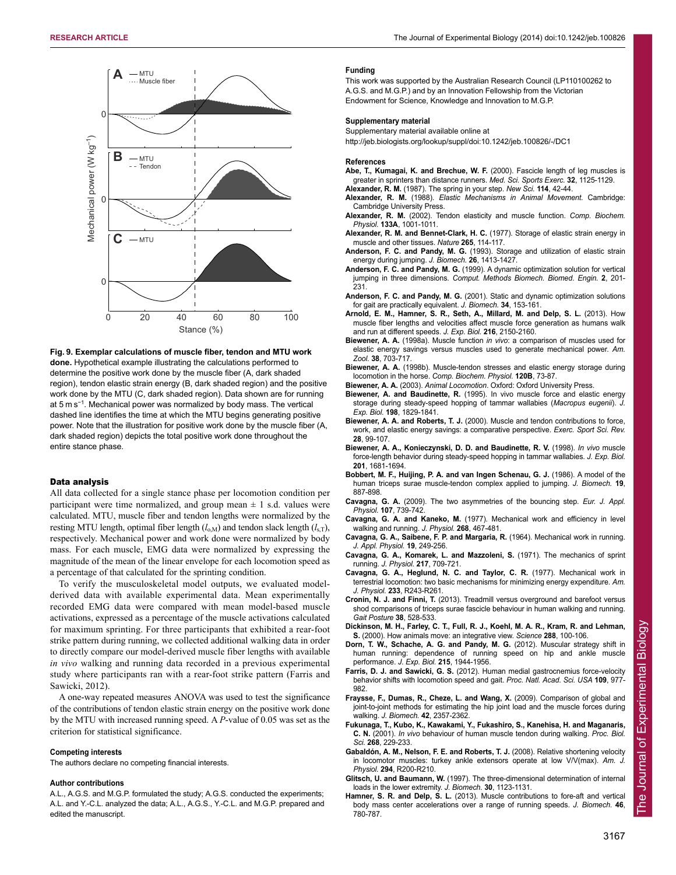

**Fig. 9. Exemplar calculations of muscle fiber, tendon and MTU work done.** Hypothetical example illustrating the calculations performed to determine the positive work done by the muscle fiber (A, dark shaded region), tendon elastic strain energy (B, dark shaded region) and the positive work done by the MTU (C, dark shaded region). Data shown are for running at 5 m s<sup>−1</sup>. Mechanical power was normalized by body mass. The vertical dashed line identifies the time at which the MTU begins generating positive power. Note that the illustration for positive work done by the muscle fiber (A, dark shaded region) depicts the total positive work done throughout the entire stance phase.

# Data analysis

All data collected for a single stance phase per locomotion condition per participant were time normalized, and group mean  $\pm$  1 s.d. values were calculated. MTU, muscle fiber and tendon lengths were normalized by the resting MTU length, optimal fiber length  $(l_{o,M})$  and tendon slack length  $(l_{s,T})$ , respectively. Mechanical power and work done were normalized by body mass. For each muscle, EMG data were normalized by expressing the magnitude of the mean of the linear envelope for each locomotion speed as a percentage of that calculated for the sprinting condition.

To verify the musculoskeletal model outputs, we evaluated modelderived data with available experimental data. Mean experimentally recorded EMG data were compared with mean model-based muscle activations, expressed as a percentage of the muscle activations calculated for maximum sprinting. For three participants that exhibited a rear-foot strike pattern during running, we collected additional walking data in order to directly compare our model-derived muscle fiber lengths with available *in vivo* walking and running data recorded in a previous experimental study where participants ran with a rear-foot strike pattern (Farris and Sawicki, 2012).

A one-way repeated measures ANOVA was used to test the significance of the contributions of tendon elastic strain energy on the positive work done by the MTU with increased running speed. A *P*-value of 0.05 was set as the criterion for statistical significance.

# **Competing interests**

The authors declare no competing financial interests.

#### **Author contributions**

A.L., A.G.S. and M.G.P. formulated the study; A.G.S. conducted the experiments; A.L. and Y.-C.L. analyzed the data; A.L., A.G.S., Y.-C.L. and M.G.P. prepared and edited the manuscript.

#### **Funding**

This work was supported by the Australian Research Council (LP110100262 to A.G.S. and M.G.P.) and by an Innovation Fellowship from the Victorian Endowment for Science, Knowledge and Innovation to M.G.P.

#### **Supplementary material**

Supplementary material available online at

http://jeb.biologists.org/lookup/suppl/doi:10.1242/jeb.100826/-/DC1

#### **References**

- **Abe, T., Kumagai, K. and Brechue, W. F.** (2000). Fascicle length of leg muscles is greater in sprinters than distance runners. *Med. Sci. Sports Exerc.* **32**, 1125-1129.
- **Alexander, R. M.** (1987). The spring in your step. *New Sci.* **114**, 42-44.
- **Alexander, R. M.** (1988). *Elastic Mechanisms in Animal Movement.* Cambridge: Cambridge University Press.
- **Alexander, R. M.** (2002). Tendon elasticity and muscle function. *Comp. Biochem. Physiol.* **133A**, 1001-1011.
- **Alexander, R. M. and Bennet-Clark, H. C.** (1977). Storage of elastic strain energy in muscle and other tissues. *Nature* **265**, 114-117.
- **Anderson, F. C. and Pandy, M. G.** (1993). Storage and utilization of elastic strain energy during jumping. *J. Biomech.* **26**, 1413-1427.
- **Anderson, F. C. and Pandy, M. G.** (1999). A dynamic optimization solution for vertical jumping in three dimensions. *Comput. Methods Biomech. Biomed. Engin.* **2**, 201- 231.
- **Anderson, F. C. and Pandy, M. G.** (2001). Static and dynamic optimization solutions for gait are practically equivalent. *J. Biomech.* **34**, 153-161.
- **Arnold, E. M., Hamner, S. R., Seth, A., Millard, M. and Delp, S. L.** (2013). How muscle fiber lengths and velocities affect muscle force generation as humans walk and run at different speeds. *J. Exp. Biol.* **216**, 2150-2160.
- **Biewener, A. A.** (1998a). Muscle function *in vivo*: a comparison of muscles used for elastic energy savings versus muscles used to generate mechanical power. *Am. Zool.* **38**, 703-717.
- **Biewener, A. A.** (1998b). Muscle-tendon stresses and elastic energy storage during locomotion in the horse. *Comp. Biochem. Physiol.* **120B**, 73-87.
- **Biewener, A. A.** (2003). *Animal Locomotion*. Oxford: Oxford University Press.
- **Biewener, A. and Baudinette, R.** (1995). In vivo muscle force and elastic energy storage during steady-speed hopping of tammar wallabies (*Macropus eugenii*). *J. Exp. Biol.* **198**, 1829-1841.
- **Biewener, A. A. and Roberts, T. J.** (2000). Muscle and tendon contributions to force, work, and elastic energy savings: a comparative perspective. *Exerc. Sport Sci. Rev.* **28**, 99-107.
- **Biewener, A. A., Konieczynski, D. D. and Baudinette, R. V.** (1998). *In vivo* muscle force-length behavior during steady-speed hopping in tammar wallabies. *J. Exp. Biol.* **201**, 1681-1694.
- **Bobbert, M. F., Huijing, P. A. and van Ingen Schenau, G. J.** (1986). A model of the human triceps surae muscle-tendon complex applied to jumping. *J. Biomech.* **19**, 887-898.
- **Cavagna, G. A.** (2009). The two asymmetries of the bouncing step. *Eur. J. Appl. Physiol.* **107**, 739-742.
- **Cavagna, G. A. and Kaneko, M.** (1977). Mechanical work and efficiency in level walking and running. *J. Physiol.* **268**, 467-481.
- **Cavagna, G. A., Saibene, F. P. and Margaria, R.** (1964). Mechanical work in running. *J. Appl. Physiol.* **19**, 249-256.
- **Cavagna, G. A., Komarek, L. and Mazzoleni, S.** (1971). The mechanics of sprint running. *J. Physiol.* **217**, 709-721.
- **Cavagna, G. A., Heglund, N. C. and Taylor, C. R.** (1977). Mechanical work in terrestrial locomotion: two basic mechanisms for minimizing energy expenditure. *Am. J. Physiol.* **233**, R243-R261.
- **Cronin, N. J. and Finni, T.** (2013). Treadmill versus overground and barefoot versus shod comparisons of triceps surae fascicle behaviour in human walking and running. *Gait Posture* **38**, 528-533.
- **Dickinson, M. H., Farley, C. T., Full, R. J., Koehl, M. A. R., Kram, R. and Lehman, S.** (2000). How animals move: an integrative view. *Science* **288**, 100-106.
- **Dorn, T. W., Schache, A. G. and Pandy, M. G.** (2012). Muscular strategy shift in human running: dependence of running speed on hip and ankle muscle performance. *J. Exp. Biol.* **215**, 1944-1956.
- **Farris, D. J. and Sawicki, G. S.** (2012). Human medial gastrocnemius force-velocity behavior shifts with locomotion speed and gait. *Proc. Natl. Acad. Sci. USA* **109**, 977- 982.
- **Fraysse, F., Dumas, R., Cheze, L. and Wang, X.** (2009). Comparison of global and joint-to-joint methods for estimating the hip joint load and the muscle forces during walking. *J. Biomech.* **42**, 2357-2362.
- **Fukunaga, T., Kubo, K., Kawakami, Y., Fukashiro, S., Kanehisa, H. and Maganaris, C. N.** (2001). *In vivo* behaviour of human muscle tendon during walking. *Proc. Biol. Sci.* **268**, 229-233.
- **Gabaldón, A. M., Nelson, F. E. and Roberts, T. J.** (2008). Relative shortening velocity in locomotor muscles: turkey ankle extensors operate at low V/V(max). *Am. J. Physiol.* **294**, R200-R210.
- **Glitsch, U. and Baumann, W.** (1997). The three-dimensional determination of internal loads in the lower extremity. *J. Biomech.* **30**, 1123-1131.
- **Hamner, S. R. and Delp, S. L.** (2013). Muscle contributions to fore-aft and vertical body mass center accelerations over a range of running speeds. *J. Biomech.* **46**, 780-787.